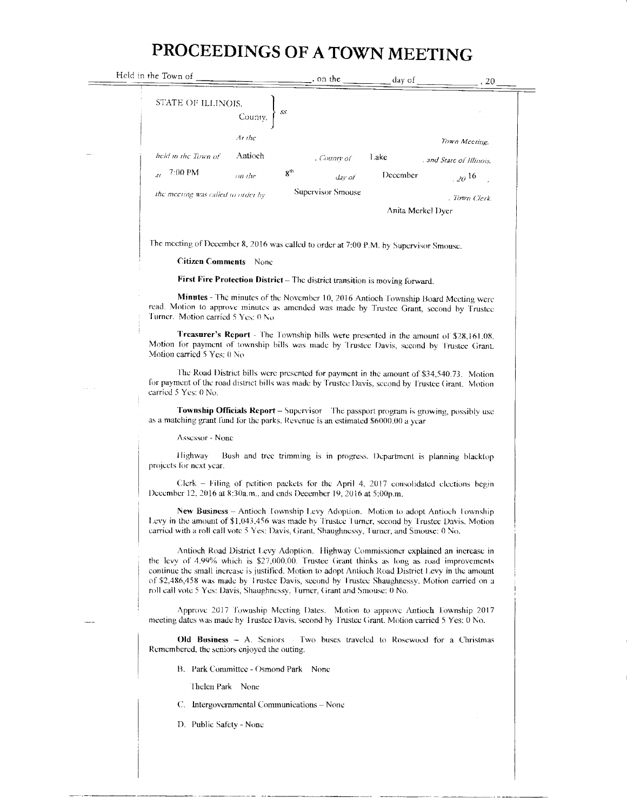## PROCEEDINGS OF A TOWN MEETING

| Held in the Town of                                                                                                                                                                                                                                                                                                                                                                                                                                                   |                                                                        | day of $\qquad$ | .20                      |  |  |  |
|-----------------------------------------------------------------------------------------------------------------------------------------------------------------------------------------------------------------------------------------------------------------------------------------------------------------------------------------------------------------------------------------------------------------------------------------------------------------------|------------------------------------------------------------------------|-----------------|--------------------------|--|--|--|
| STATE OF ILLINOIS,<br><br>County,<br>$\}$ ss.                                                                                                                                                                                                                                                                                                                                                                                                                         |                                                                        |                 |                          |  |  |  |
| Ar the                                                                                                                                                                                                                                                                                                                                                                                                                                                                |                                                                        |                 | Town Mccting,            |  |  |  |
| held in the Town of<br>Antioch                                                                                                                                                                                                                                                                                                                                                                                                                                        | , County of                                                            | Lake            | . and State of Illinois. |  |  |  |
| 7:00 PM<br>on the                                                                                                                                                                                                                                                                                                                                                                                                                                                     | 8 <sup>th</sup><br>day of                                              | December        | $\frac{1}{20}$ 16        |  |  |  |
| the meeting was called to order by                                                                                                                                                                                                                                                                                                                                                                                                                                    | Supervisor Smouse                                                      |                 | . Town Clerk.            |  |  |  |
|                                                                                                                                                                                                                                                                                                                                                                                                                                                                       |                                                                        |                 | Anita Merkel Dyer        |  |  |  |
| The meeting of December 8, 2016 was called to order at 7:00 P.M. by Supervisor Smouse.                                                                                                                                                                                                                                                                                                                                                                                |                                                                        |                 |                          |  |  |  |
| <b>Citizen Comments</b> None                                                                                                                                                                                                                                                                                                                                                                                                                                          |                                                                        |                 |                          |  |  |  |
| First Fire Protection District - The district transition is moving forward.                                                                                                                                                                                                                                                                                                                                                                                           |                                                                        |                 |                          |  |  |  |
| Minutes - The minutes of the November 10, 2016 Antioch Township Board Meeting were<br>read. Motion to approve minutes as amended was made by Trustee Grant, second by Trustee<br>Turner. Motion carried 5 Yes: 0 No.                                                                                                                                                                                                                                                  |                                                                        |                 |                          |  |  |  |
| Treasurer's Report - The Township bills were presented in the amount of \$28,161.08.<br>Motion for payment of township bills was made by Trustee Davis, second by Trustee Grant.<br>Motion carried 5 Yes: 0 No                                                                                                                                                                                                                                                        |                                                                        |                 |                          |  |  |  |
| The Road District bills were presented for payment in the amount of \$34,540.73. Motion<br>for payment of the road district bills was made by Trustee Davis, second by Trustee Grant. Motion<br>carried 5 Yes: 0 No.                                                                                                                                                                                                                                                  |                                                                        |                 |                          |  |  |  |
| <b>Township Officials Report</b> – Supervisor The passport program is growing, possibly use<br>as a matching grant fund for the parks. Revenue is an estimated \$6000.00 a year                                                                                                                                                                                                                                                                                       |                                                                        |                 |                          |  |  |  |
| Assessor - None                                                                                                                                                                                                                                                                                                                                                                                                                                                       |                                                                        |                 |                          |  |  |  |
| Highway<br>projects for next year.                                                                                                                                                                                                                                                                                                                                                                                                                                    | Bush and tree trimming is in progress. Department is planning blacktop |                 |                          |  |  |  |
| Clerk - Filing of petition packets for the April 4, 2017 consolidated elections begin<br>December 12, 2016 at 8:30a.m., and ends December 19, 2016 at 5:00p.m.                                                                                                                                                                                                                                                                                                        |                                                                        |                 |                          |  |  |  |
| New Business - Antioch Township Levy Adoption. Motion to adopt Antioch Township<br>Levy in the amount of \$1,043,456 was made by Trustee Turner, second by Trustee Davis. Motion<br>carried with a roll call vote 5 Yes: Davis, Grant, Shaughnessy, Turner, and Smouse: 0 No.                                                                                                                                                                                         |                                                                        |                 |                          |  |  |  |
| Antioch Road District Levy Adoption. Highway Commissioner explained an increase in<br>the levy of $4.99\%$ which is \$27,000.00. Trustee Grant thinks as long as road improvements<br>continue the small increase is justified. Motion to adopt Antioch Road District Levy in the amount<br>of \$2,486,458 was made by Trustee Davis, second by Trustee Shaughnessy. Motion carried on a<br>roll call vote 5 Yes: Davis, Shaughnessy, Turner, Grant and Smouse: 0 No. |                                                                        |                 |                          |  |  |  |
| Approve 2017 Township Meeting Dates. Motion to approve Antioch Township 2017<br>meeting dates was made by Trustee Davis, second by Trustee Grant. Motion carried 5 Yes: 0 No.                                                                                                                                                                                                                                                                                         |                                                                        |                 |                          |  |  |  |
| <b>Old Business – A.</b> Seniors Two buses traveled to Rosewood for a Christmas<br>Remembered, the seniors enjoyed the outing.                                                                                                                                                                                                                                                                                                                                        |                                                                        |                 |                          |  |  |  |
| B. Park Committee - Osmond Park None                                                                                                                                                                                                                                                                                                                                                                                                                                  |                                                                        |                 |                          |  |  |  |
| Thelen Park None                                                                                                                                                                                                                                                                                                                                                                                                                                                      |                                                                        |                 |                          |  |  |  |
| C. Intergovernmental Communications – None                                                                                                                                                                                                                                                                                                                                                                                                                            |                                                                        |                 |                          |  |  |  |
| D. Public Safety - None                                                                                                                                                                                                                                                                                                                                                                                                                                               |                                                                        |                 |                          |  |  |  |